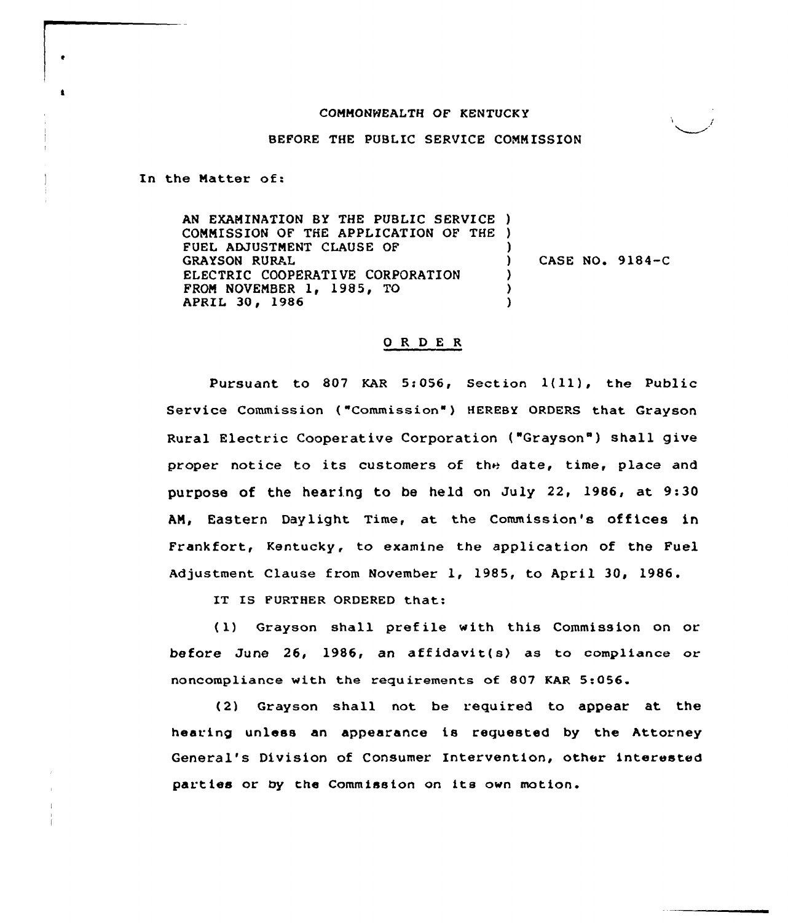## COMMONWEALTH OF KENTUCKY

BEFORE THE PUBLIC SERVICE COMMISSION

In the Matter of:

AN EXAMINATION BY THE PUBLIC SERVICE ) COMMISSION OF THE APPLICATION OF THE ) FUEL ADJUSTMENT CLAUSE OF GRAYSON RURAL ELECTRIC COOPERATIVE CORPORATION FROM NOVEMBER 1, 1985, TO APRIL 30, 1986 ) ) CASE NO. 9184-C ) ) )

## ORDER

Pursuant to <sup>807</sup> KAR 5:056, Section 1(ll), the Public Service Commission ("Commission" ) HEREBY ORDERS that Grayson Rural Electric Cooperative Corporation ("Grayson") shall give proper notice to its customers of the date, time, place and purpose of the hearing to be held on July 22, 1986, at 9:30 AM, Eastern Daylight Time, at the Commission's offices in Frankfort, Kentucky, to examine the application of the Fuel Adjustment Clause from November 1, 1985, to April 30, 1986.

IT IS FURTHER ORDERED that:

{1) Grayson shall pref ile with this Commission on or before June 26, 1986, an affidavit(s) as to compliance or noncompliance with the requirements of 807 KAR 5:056.

(2) Grayson shall not be required to appear at the hearing unless an appearance is requested by the Attorney General's Division of Consumer Intervention, other interested parties or by the Commission on its own motion.